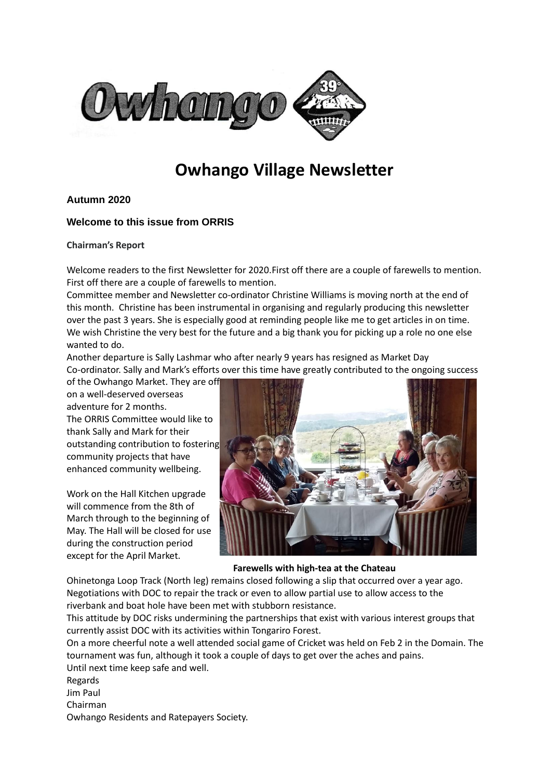

# **Owhango Village Newsletter**

# **Autumn 2020**

# **Welcome to this issue from ORRIS**

## **Chairman's Report**

Welcome readers to the first Newsletter for 2020.First off there are a couple of farewells to mention. First off there are a couple of farewells to mention.

Committee member and Newsletter co-ordinator Christine Williams is moving north at the end of this month. Christine has been instrumental in organising and regularly producing this newsletter over the past 3 years. She is especially good at reminding people like me to get articles in on time. We wish Christine the very best for the future and a big thank you for picking up a role no one else wanted to do.

Another departure is Sally Lashmar who after nearly 9 years has resigned as Market Day Co-ordinator. Sally and Mark's efforts over this time have greatly contributed to the ongoing success

of the Owhango Market. They are off on a well-deserved overseas adventure for 2 months. The ORRIS Committee would like to thank Sally and Mark for their outstanding contribution to fostering community projects that have enhanced community wellbeing.

Work on the Hall Kitchen upgrade will commence from the 8th of March through to the beginning of May. The Hall will be closed for use during the construction period except for the April Market.



## **Farewells with high-tea at the Chateau**

Ohinetonga Loop Track (North leg) remains closed following a slip that occurred over a year ago. Negotiations with DOC to repair the track or even to allow partial use to allow access to the riverbank and boat hole have been met with stubborn resistance.

This attitude by DOC risks undermining the partnerships that exist with various interest groups that currently assist DOC with its activities within Tongariro Forest.

On a more cheerful note a well attended social game of Cricket was held on Feb 2 in the Domain. The tournament was fun, although it took a couple of days to get over the aches and pains. Until next time keep safe and well.

Regards

Jim Paul

Chairman

Owhango Residents and Ratepayers Society.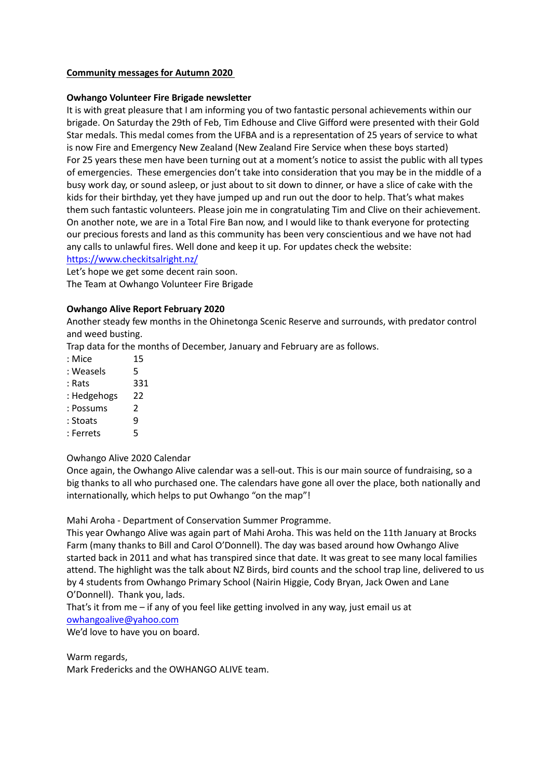## **Community messages for Autumn 2020**

## **Owhango Volunteer Fire Brigade newsletter**

It is with great pleasure that I am informing you of two fantastic personal achievements within our brigade. On Saturday the 29th of Feb, Tim Edhouse and Clive Gifford were presented with their Gold Star medals. This medal comes from the UFBA and is a representation of 25 years of service to what is now Fire and Emergency New Zealand (New Zealand Fire Service when these boys started) For 25 years these men have been turning out at a moment's notice to assist the public with all types of emergencies. These emergencies don't take into consideration that you may be in the middle of a busy work day, or sound asleep, or just about to sit down to dinner, or have a slice of cake with the kids for their birthday, yet they have jumped up and run out the door to help. That's what makes them such fantastic volunteers. Please join me in congratulating Tim and Clive on their achievement. On another note, we are in a Total Fire Ban now, and I would like to thank everyone for protecting our precious forests and land as this community has been very conscientious and we have not had any calls to unlawful fires. Well done and keep it up. For updates check the website: <https://www.checkitsalright.nz/>

Let's hope we get some decent rain soon. The Team at Owhango Volunteer Fire Brigade

## **Owhango Alive Report February 2020**

Another steady few months in the Ohinetonga Scenic Reserve and surrounds, with predator control and weed busting.

Trap data for the months of December, January and February are as follows.

- : Mice 15
- : Weasels 5
- : Rats 331
- : Hedgehogs 22
- : Possums 2
- : Stoats 9
- : Ferrets 5

## Owhango Alive 2020 Calendar

Once again, the Owhango Alive calendar was a sell-out. This is our main source of fundraising, so a big thanks to all who purchased one. The calendars have gone all over the place, both nationally and internationally, which helps to put Owhango "on the map"!

Mahi Aroha - Department of Conservation Summer Programme.

This year Owhango Alive was again part of Mahi Aroha. This was held on the 11th January at Brocks Farm (many thanks to Bill and Carol O'Donnell). The day was based around how Owhango Alive started back in 2011 and what has transpired since that date. It was great to see many local families attend. The highlight was the talk about NZ Birds, bird counts and the school trap line, delivered to us by 4 students from Owhango Primary School (Nairin Higgie, Cody Bryan, Jack Owen and Lane O'Donnell). Thank you, lads.

That's it from me – if any of you feel like getting involved in any way, just email us at [owhangoalive@yahoo.com](mailto:owhangoalive@yahoo.com)

We'd love to have you on board.

Warm regards,

Mark Fredericks and the OWHANGO ALIVE team.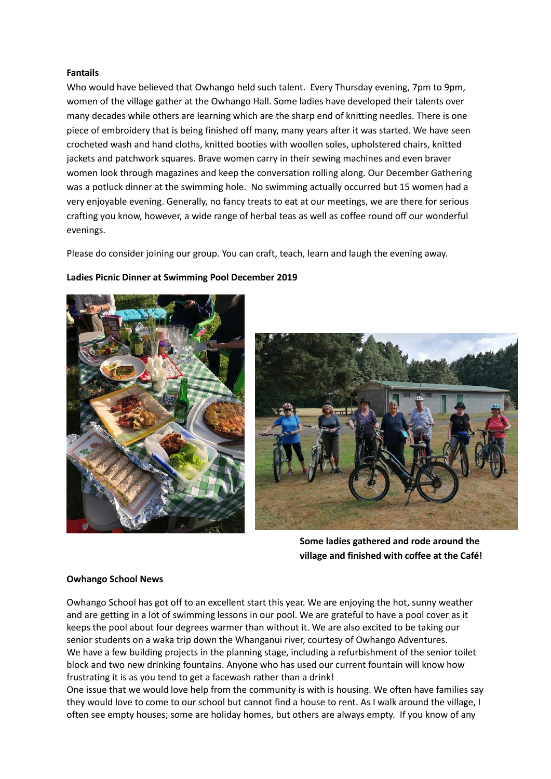#### **Fantails**

Who would have believed that Owhango held such talent. Every Thursday evening, 7pm to 9pm, women of the village gather at the Owhango Hall. Some ladies have developed their talents over many decades while others are learning which are the sharp end of knitting needles. There is one piece of embroidery that is being finished off many, many years after it was started. We have seen crocheted wash and hand cloths, knitted booties with woollen soles, upholstered chairs, knitted jackets and patchwork squares. Brave women carry in their sewing machines and even braver women look through magazines and keep the conversation rolling along. Our December Gathering was a potluck dinner at the swimming hole. No swimming actually occurred but 15 women had a very enjoyable evening. Generally, no fancy treats to eat at our meetings, we are there for serious crafting you know, however, a wide range of herbal teas as well as coffee round off our wonderful evenings.

Please do consider joining our group. You can craft, teach, learn and laugh the evening away.



#### **Ladies Picnic Dinner at Swimming Pool December 2019**



**Some ladies gathered and rode around the village and finished with coffee at the Café!**

## **Owhango School News**

Owhango School has got off to an excellent start this year. We are enjoying the hot, sunny weather and are getting in a lot of swimming lessons in our pool. We are grateful to have a pool cover as it keeps the pool about four degrees warmer than without it. We are also excited to be taking our senior students on a waka trip down the Whanganui river, courtesy of Owhango Adventures. We have a few building projects in the planning stage, including a refurbishment of the senior toilet block and two new drinking fountains. Anyone who has used our current fountain will know how frustrating it is as you tend to get a facewash rather than a drink!

One issue that we would love help from the community is with is housing. We often have families say they would love to come to our school but cannot find a house to rent. As I walk around the village, I often see empty houses; some are holiday homes, but others are always empty. If you know of any